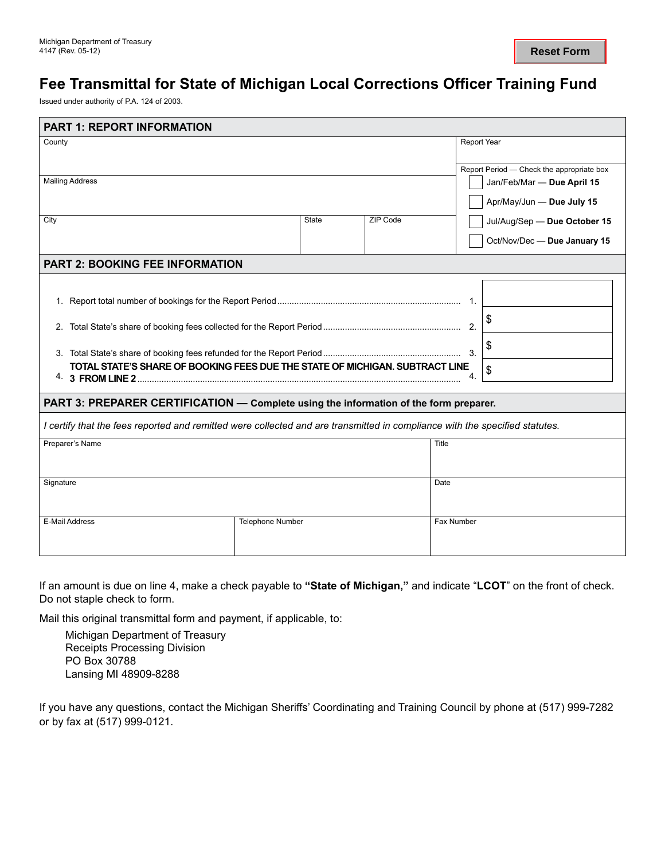## **Fee Transmittal for State of Michigan Local Corrections Officer Training Fund**

Issued under authority of P.A. 124 of 2003.

| Report Period - Check the appropriate box<br>Jan/Feb/Mar - Due April 15               |  |  |  |  |  |  |  |  |
|---------------------------------------------------------------------------------------|--|--|--|--|--|--|--|--|
|                                                                                       |  |  |  |  |  |  |  |  |
|                                                                                       |  |  |  |  |  |  |  |  |
|                                                                                       |  |  |  |  |  |  |  |  |
| Apr/May/Jun - Due July 15                                                             |  |  |  |  |  |  |  |  |
| Jul/Aug/Sep - Due October 15                                                          |  |  |  |  |  |  |  |  |
| Oct/Nov/Dec - Due January 15                                                          |  |  |  |  |  |  |  |  |
| <b>PART 2: BOOKING FEE INFORMATION</b>                                                |  |  |  |  |  |  |  |  |
|                                                                                       |  |  |  |  |  |  |  |  |
|                                                                                       |  |  |  |  |  |  |  |  |
|                                                                                       |  |  |  |  |  |  |  |  |
|                                                                                       |  |  |  |  |  |  |  |  |
|                                                                                       |  |  |  |  |  |  |  |  |
|                                                                                       |  |  |  |  |  |  |  |  |
| PART 3: PREPARER CERTIFICATION — Complete using the information of the form preparer. |  |  |  |  |  |  |  |  |
|                                                                                       |  |  |  |  |  |  |  |  |
|                                                                                       |  |  |  |  |  |  |  |  |
|                                                                                       |  |  |  |  |  |  |  |  |
|                                                                                       |  |  |  |  |  |  |  |  |
|                                                                                       |  |  |  |  |  |  |  |  |
|                                                                                       |  |  |  |  |  |  |  |  |
|                                                                                       |  |  |  |  |  |  |  |  |
|                                                                                       |  |  |  |  |  |  |  |  |
|                                                                                       |  |  |  |  |  |  |  |  |

If an amount is due on line 4, make a check payable to **"State of Michigan,"** and indicate "**LCOT**" on the front of check. Do not staple check to form.

Mail this original transmittal form and payment, if applicable, to:

Michigan Department of Treasury Receipts Processing Division PO Box 30788 Lansing MI 48909-8288

If you have any questions, contact the Michigan Sheriffs' Coordinating and Training Council by phone at (517) 999-7282 or by fax at (517) 999-0121.